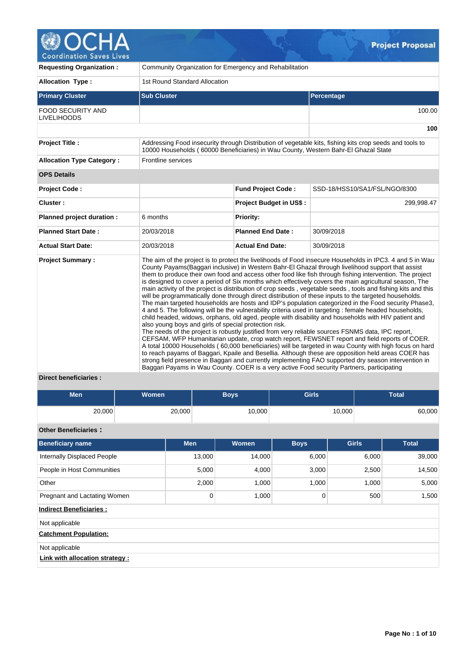

| <b>Requesting Organization:</b>                |                                                                                                                                                                                               | Community Organization for Emergency and Rehabilitation |                                                                                                                                                                                                                                                                                                                                                                                                                                                                                                                                                                                                                                                                                                                                                                                                                                                                                                                                                                                                                                                                                                                                                                                                                                                                                                                                                                                                                                                                                                                                                                                                                    |  |  |  |  |  |  |  |  |
|------------------------------------------------|-----------------------------------------------------------------------------------------------------------------------------------------------------------------------------------------------|---------------------------------------------------------|--------------------------------------------------------------------------------------------------------------------------------------------------------------------------------------------------------------------------------------------------------------------------------------------------------------------------------------------------------------------------------------------------------------------------------------------------------------------------------------------------------------------------------------------------------------------------------------------------------------------------------------------------------------------------------------------------------------------------------------------------------------------------------------------------------------------------------------------------------------------------------------------------------------------------------------------------------------------------------------------------------------------------------------------------------------------------------------------------------------------------------------------------------------------------------------------------------------------------------------------------------------------------------------------------------------------------------------------------------------------------------------------------------------------------------------------------------------------------------------------------------------------------------------------------------------------------------------------------------------------|--|--|--|--|--|--|--|--|
| <b>Allocation Type:</b>                        | 1st Round Standard Allocation                                                                                                                                                                 |                                                         |                                                                                                                                                                                                                                                                                                                                                                                                                                                                                                                                                                                                                                                                                                                                                                                                                                                                                                                                                                                                                                                                                                                                                                                                                                                                                                                                                                                                                                                                                                                                                                                                                    |  |  |  |  |  |  |  |  |
| <b>Primary Cluster</b>                         | <b>Sub Cluster</b>                                                                                                                                                                            |                                                         | Percentage                                                                                                                                                                                                                                                                                                                                                                                                                                                                                                                                                                                                                                                                                                                                                                                                                                                                                                                                                                                                                                                                                                                                                                                                                                                                                                                                                                                                                                                                                                                                                                                                         |  |  |  |  |  |  |  |  |
| <b>FOOD SECURITY AND</b><br><b>LIVELIHOODS</b> |                                                                                                                                                                                               |                                                         | 100.00                                                                                                                                                                                                                                                                                                                                                                                                                                                                                                                                                                                                                                                                                                                                                                                                                                                                                                                                                                                                                                                                                                                                                                                                                                                                                                                                                                                                                                                                                                                                                                                                             |  |  |  |  |  |  |  |  |
|                                                |                                                                                                                                                                                               |                                                         | 100                                                                                                                                                                                                                                                                                                                                                                                                                                                                                                                                                                                                                                                                                                                                                                                                                                                                                                                                                                                                                                                                                                                                                                                                                                                                                                                                                                                                                                                                                                                                                                                                                |  |  |  |  |  |  |  |  |
| <b>Project Title:</b>                          | Addressing Food insecurity through Distribution of vegetable kits, fishing kits crop seeds and tools to<br>10000 Households (60000 Beneficiaries) in Wau County, Western Bahr-El Ghazal State |                                                         |                                                                                                                                                                                                                                                                                                                                                                                                                                                                                                                                                                                                                                                                                                                                                                                                                                                                                                                                                                                                                                                                                                                                                                                                                                                                                                                                                                                                                                                                                                                                                                                                                    |  |  |  |  |  |  |  |  |
| <b>Allocation Type Category:</b>               | Frontline services                                                                                                                                                                            |                                                         |                                                                                                                                                                                                                                                                                                                                                                                                                                                                                                                                                                                                                                                                                                                                                                                                                                                                                                                                                                                                                                                                                                                                                                                                                                                                                                                                                                                                                                                                                                                                                                                                                    |  |  |  |  |  |  |  |  |
| <b>OPS Details</b>                             |                                                                                                                                                                                               |                                                         |                                                                                                                                                                                                                                                                                                                                                                                                                                                                                                                                                                                                                                                                                                                                                                                                                                                                                                                                                                                                                                                                                                                                                                                                                                                                                                                                                                                                                                                                                                                                                                                                                    |  |  |  |  |  |  |  |  |
| <b>Project Code:</b>                           |                                                                                                                                                                                               | <b>Fund Project Code:</b>                               | SSD-18/HSS10/SA1/FSL/NGO/8300                                                                                                                                                                                                                                                                                                                                                                                                                                                                                                                                                                                                                                                                                                                                                                                                                                                                                                                                                                                                                                                                                                                                                                                                                                                                                                                                                                                                                                                                                                                                                                                      |  |  |  |  |  |  |  |  |
| Cluster:                                       |                                                                                                                                                                                               | Project Budget in US\$:                                 | 299,998.47                                                                                                                                                                                                                                                                                                                                                                                                                                                                                                                                                                                                                                                                                                                                                                                                                                                                                                                                                                                                                                                                                                                                                                                                                                                                                                                                                                                                                                                                                                                                                                                                         |  |  |  |  |  |  |  |  |
| Planned project duration :                     | 6 months                                                                                                                                                                                      | <b>Priority:</b>                                        |                                                                                                                                                                                                                                                                                                                                                                                                                                                                                                                                                                                                                                                                                                                                                                                                                                                                                                                                                                                                                                                                                                                                                                                                                                                                                                                                                                                                                                                                                                                                                                                                                    |  |  |  |  |  |  |  |  |
| <b>Planned Start Date:</b>                     | 20/03/2018                                                                                                                                                                                    | <b>Planned End Date:</b>                                | 30/09/2018                                                                                                                                                                                                                                                                                                                                                                                                                                                                                                                                                                                                                                                                                                                                                                                                                                                                                                                                                                                                                                                                                                                                                                                                                                                                                                                                                                                                                                                                                                                                                                                                         |  |  |  |  |  |  |  |  |
| <b>Actual Start Date:</b>                      | 20/03/2018                                                                                                                                                                                    | <b>Actual End Date:</b>                                 | 30/09/2018                                                                                                                                                                                                                                                                                                                                                                                                                                                                                                                                                                                                                                                                                                                                                                                                                                                                                                                                                                                                                                                                                                                                                                                                                                                                                                                                                                                                                                                                                                                                                                                                         |  |  |  |  |  |  |  |  |
| <b>Project Summary:</b><br>المستقط المناب      | also young boys and girls of special protection risk.                                                                                                                                         |                                                         | The aim of the project is to protect the livelihoods of Food insecure Households in IPC3. 4 and 5 in Wau<br>County Payams (Baggari inclusive) in Western Bahr-El Ghazal through livelihood support that assist<br>them to produce their own food and access other food like fish through fishing intervention. The project<br>is designed to cover a period of Six months which effectively covers the main agricultural season. The<br>main activity of the project is distribution of crop seeds, vegetable seeds, tools and fishing kits and this<br>will be programmatically done through direct distribution of these inputs to the targeted households.<br>The main targeted households are hosts and IDP's population categorized in the Food security Phase3,<br>4 and 5. The following will be the vulnerability criteria used in targeting : female headed households,<br>child headed, widows, orphans, old aged, people with disability and households with HIV patient and<br>The needs of the project is robustly justified from very reliable sources FSNMS data, IPC report,<br>CEFSAM, WFP Humanitarian update, crop watch report, FEWSNET report and field reports of COER.<br>A total 10000 Households (60,000 beneficiaries) will be targeted in wau County with high focus on hard<br>to reach payams of Baggari, Kpaile and Besellia. Although these are opposition held areas COER has<br>strong field presence in Baggari and currently implementing FAO supported dry season intervention in<br>Baggari Payams in Wau County. COER is a very active Food security Partners, participating |  |  |  |  |  |  |  |  |

# **Direct beneficiaries :**

| <b>Men</b> | <b>Women</b> | <b>Boys</b> | <b>Girls</b> | Total  |  |  |
|------------|--------------|-------------|--------------|--------|--|--|
| 20,000     | 20,000       | 10,000      | 10,000       | 60,000 |  |  |

# **Other Beneficiaries :**

| <b>Beneficiary name</b>            | <b>Men</b> | <b>Women</b> | <b>Boys</b> | <b>Girls</b> | <b>Total</b> |  |  |  |  |
|------------------------------------|------------|--------------|-------------|--------------|--------------|--|--|--|--|
| <b>Internally Displaced People</b> | 13,000     | 14,000       | 6,000       | 6,000        | 39,000       |  |  |  |  |
| People in Host Communities         | 5,000      | 4,000        | 3,000       | 2,500        | 14,500       |  |  |  |  |
| Other                              | 2,000      | 1,000        | 1,000       | 1,000        | 5,000        |  |  |  |  |
| Pregnant and Lactating Women       | 0          | 1,000        | 0           | 500          | 1,500        |  |  |  |  |
| <b>Indirect Beneficiaries:</b>     |            |              |             |              |              |  |  |  |  |
| Not applicable                     |            |              |             |              |              |  |  |  |  |
| <b>Catchment Population:</b>       |            |              |             |              |              |  |  |  |  |
| Not applicable                     |            |              |             |              |              |  |  |  |  |
| Link with allocation strategy:     |            |              |             |              |              |  |  |  |  |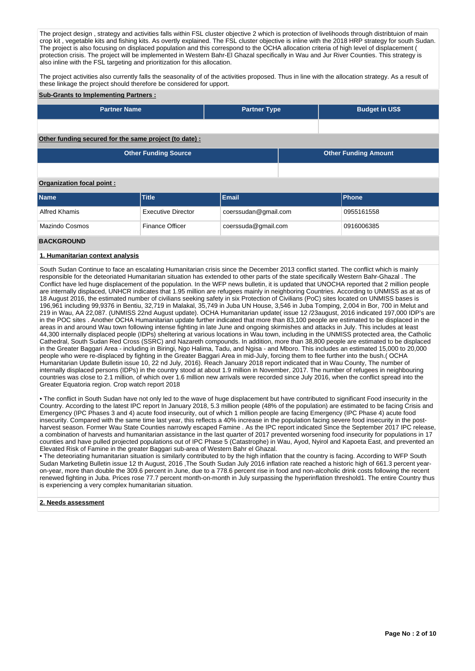The project design, strategy and activities falls within FSL cluster objective 2 which is protection of livelihoods through distribtuion of main crop kit , vegetable kits and fishing kits. As overtly explained. The FSL cluster objective is inline with the 2018 HRP strategy for south Sudan. The project is also focusing on displaced population and this correspond to the OCHA allocation criteria of high level of displacement ( protection crisis. The project will be implemented in Western Bahr-El Ghazal specifically in Wau and Jur River Counties. This strategy is also inline with the FSL targeting and prioritization for this allocation.

The project activities also currently falls the seasonality of of the activities proposed. Thus in line with the allocation strategy. As a result of the project assumes also saffered for the seasonally of or the ast these linkage the project should therefore be considered for upport.

### **Sub-Grants to Implementing Partners :**

| <b>Partner Name</b>                                   | <b>Partner Type</b> | <b>Budget in US\$</b>       |  |
|-------------------------------------------------------|---------------------|-----------------------------|--|
|                                                       |                     |                             |  |
|                                                       |                     |                             |  |
|                                                       |                     |                             |  |
| Other funding secured for the same project (to date): |                     |                             |  |
|                                                       |                     |                             |  |
| <b>Other Funding Source</b>                           |                     | <b>Other Funding Amount</b> |  |

## **Organization focal point :**

| <b>Name</b>    | <b>Title</b>              | Email                | <b>IPhone</b> |
|----------------|---------------------------|----------------------|---------------|
| Alfred Khamis  | <b>Executive Director</b> | coerssudan@gmail.com | 0955161558    |
| Mazindo Cosmos | <b>Finance Officer</b>    | coerssuda@gmail.com  | 0916006385    |

## **BACKGROUND**

## **1. Humanitarian context analysis**

South Sudan Continue to face an escalating Humanitarian crisis since the December 2013 conflict started. The conflict which is mainly responsible for the deteoriated Humanitarian situation has extended to other parts of the state specifically Western Bahr-Ghazal . The Conflict have led huge displacement of the population. In the WFP news bulletin, it is updated that UNOCHA reported that 2 million people are internally displaced, UNHCR indicates that 1.95 million are refugees mainly in neighboring Countries. According to UNMISS as at as of 18 August 2016, the estimated number of civilians seeking safety in six Protection of Civilians (PoC) sites located on UNMISS bases is 196,961 including 99,9376 in Bentiu, 32,719 in Malakal, 35,749 in Juba UN House, 3,546 in Juba Tomping, 2,004 in Bor, 700 in Melut and 219 in Wau, AA 22,087. (UNMISS 22nd August update). OCHA Humanitarian update( issue 12 /23august, 2016 indicated 197,000 IDP's are in the POC sites . Another OCHA Humanitarian update further indicated that more than 83,100 people are estimated to be displaced in the areas in and around Wau town following intense fighting in late June and ongoing skirmishes and attacks in July. This includes at least 44,300 internally displaced people (IDPs) sheltering at various locations in Wau town, including in the UNMISS protected area, the Catholic Cathedral, South Sudan Red Cross (SSRC) and Nazareth compounds. In addition, more than 38,800 people are estimated to be displaced in the Greater Baggari Area - including in Biringi, Ngo Halima, Tadu, and Ngisa - and Mboro. This includes an estimated 15,000 to 20,000 people who were re-displaced by fighting in the Greater Baggari Area in mid-July, forcing them to flee further into the bush.( OCHA Humanitarian Update Bulletin issue 10, 22 nd July, 2016). Reach January 2018 report indicated that in Wau County, The number of internally displaced persons (IDPs) in the country stood at about 1.9 million in November, 2017. The number of refugees in neighbouring countries was close to 2.1 million, of which over 1.6 million new arrivals were recorded since July 2016, when the conflict spread into the Greater Equatoria region. Crop watch report 2018

• The conflict in South Sudan have not only led to the wave of huge displacement but have contributed to significant Food insecurity in the Country. According to the latest IPC report In January 2018, 5.3 million people (48% of the population) are estimated to be facing Crisis and Emergency (IPC Phases 3 and 4) acute food insecurity, out of which 1 million people are facing Emergency (IPC Phase 4) acute food insecurity. Compared with the same time last year, this reflects a 40% increase in the population facing severe food insecurity in the postharvest season. Former Wau State Counties narrowly escaped Famine . As the IPC report indicated Since the September 2017 IPC release, a combination of harvests and humanitarian assistance in the last quarter of 2017 prevented worsening food insecurity for populations in 17 counties and have pulled projected populations out of IPC Phase 5 (Catastrophe) in Wau, Ayod, Nyirol and Kapoeta East, and prevented an Elevated Risk of Famine in the greater Baggari sub-area of Western Bahr el Ghazal.

• The deteoriating humanitarian situation is similarly contributed to by the high inflation that the country is facing. According to WFP South Sudan Marketing Bulletin issue 12 th August, 2016 ,The South Sudan July 2016 inflation rate reached a historic high of 661.3 percent yearon-year, more than double the 309.6 percent in June, due to a 778.6 percent rise in food and non-alcoholic drink costs following the recent renewed fighting in Juba. Prices rose 77.7 percent month-on-month in July surpassing the hyperinflation threshold1. The entire Country thus is experiencing a very complex humanitarian situation.

### **2. Needs assessment**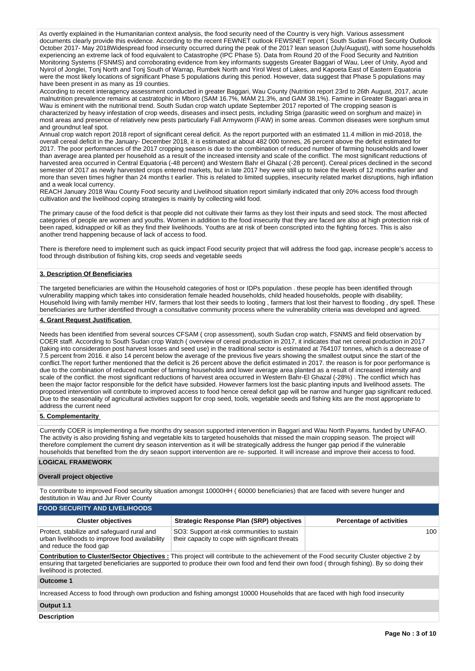As overtly explained in the Humanitarian context analysis, the food security need of the Country is very high. Various assessment documents clearly provide this evidence. According to the recent FEWNET outlook FEWSNET report ( South Sudan Food Security Outlook October 2017- May 2018Widespread food insecurity occurred during the peak of the 2017 lean season (July/August), with some households experiencing an extreme lack of food equivalent to Catastrophe (IPC Phase 5). Data from Round 20 of the Food Security and Nutrition Monitoring Systems (FSNMS) and corroborating evidence from key informants suggests Greater Baggari of Wau, Leer of Unity, Ayod and Nyirol of Jonglei, Tonj North and Tonj South of Warrap, Rumbek North and Yirol West of Lakes, and Kapoeta East of Eastern Equatoria were the most likely locations of significant Phase 5 populations during this period. However, data suggest that Phase 5 populations may have been present in as many as 19 counties.

According to recent interagency assessment conducted in greater Baggari, Wau County (Nutrition report 23rd to 26th August, 2017, acute malnutrition prevalence remains at castratophic in Mboro (SAM 16.7%, MAM 21.3%, and GAM 38.1%). Famine in Greater Baggari area in Wau is eminent with the nutritional trend. South Sudan crop watch update September 2017 reported of The cropping season is characterized by heavy infestation of crop weeds, diseases and insect pests, including Striga (parasitic weed on sorghum and maize) in most areas and presence of relatively new pests particularly Fall Armyworm (FAW) in some areas. Common diseases were sorghum smut and groundnut leaf spot.

Annual crop watch report 2018 report of significant cereal deficit. As the report purported with an estimated 11.4 million in mid-2018, the overall cereal deficit in the January- December 2018, it is estimated at about 482 000 tonnes, 26 percent above the deficit estimated for 2017. The poor performances of the 2017 cropping season is due to the combination of reduced number of farming households and lower than average area planted per household as a result of the increased intensity and scale of the conflict. The most significant reductions of harvested area occurred in Central Equatoria (-48 percent) and Western Bahr el Ghazal (-28 percent). Cereal prices declined in the second semester of 2017 as newly harvested crops entered markets, but in late 2017 hey were still up to twice the levels of 12 months earlier and more than seven times higher than 24 months t earlier. This is related to limited supplies, insecurity related market disruptions, high inflation and a weak local currency.

REACH January 2018 Wau County Food security and Livelihood situation report similarly indicated that only 20% access food through cultivation and the livelihood coping strategies is mainly by collecting wild food.

The primary cause of the food deficit is that people did not cultivate their farms as they lost their inputs and seed stock. The most affected categories of people are women and youths. Women in addition to the food insecurity that they are faced are also at high protection risk of been raped, kidnapped or kill as they find their livelihoods. Youths are at risk of been conscripted into the fighting forces. This is also another trend happening because of lack of access to food.

There is therefore need to implement such as quick impact Food security project that will address the food gap, increase people's access to food through distribution of fishing kits, crop seeds and vegetable seeds

## **3. Description Of Beneficiaries**

The targeted beneficiaries are within the Household categories of host or IDPs population . these people has been identified through vulnerability mapping which takes into consideration female headed households, child headed households, people with disability; Household living with family member HIV, farmers that lost their seeds to looting , farmers that lost their harvest to flooding , dry spell. These beneficiaries are further identified through a consultative community process where the vulnerability criteria was developed and agreed.

## **4. Grant Request Justification**

Needs has been identified from several sources CFSAM ( crop assessment), south Sudan crop watch, FSNMS and field observation by COER staff. According to South Sudan crop Watch ( overview of cereal production in 2017, it indicates that net cereal production in 2017 (taking into consideration post harvest losses and seed use) in the traditional sector is estimated at 764107 tonnes, which is a decrease of 7.5 percent from 2016. it also 14 percent below the average of the previous five years showing the smallest output since the start of the conflict.The report further mentioned that the deficit is 26 percent above the deficit estimated in 2017. the reason is for poor performance is due to the combination of reduced number of farming households and lower average area planted as a result of increased intensity and scale of the conflict. the most significant reductions of harvest area occurred in Western Bahr-El Ghazal (-28%) . The conflict which has been the major factor responsible for the deficit have subsided. However farmers lost the basic planting inputs and livelihood assets. The proposed intervention will contribute to improved access to food hence cereal deficit gap will be narrow and hunger gap significant reduced. Due to the seasonality of agricultural activities support for crop seed, tools, vegetable seeds and fishing kits are the most appropriate to address the current need

## **5. Complementarity**

Currently COER is implementing a five months dry season supported intervention in Baggari and Wau North Payams. funded by UNFAO. The activity is also providing fishing and vegetable kits to targeted households that missed the main cropping season. The project will therefore complement the current dry season intervention as it will be strategically address the hunger gap period if the vulnerable households that benefited from the dry seaon support intervention are re- supported. It will increase and improve their access to food.

## **LOGICAL FRAMEWORK**

### **Overall project objective**

To contribute to improved Food security situation amongst 10000HH ( 60000 beneficiaries) that are faced with severe hunger and destitution in Wau and Jur River County

| <b>FOOD SECURITY AND LIVELIHOODS</b>                                                                                    |                                                                                                |                                 |  |  |  |  |  |  |  |  |
|-------------------------------------------------------------------------------------------------------------------------|------------------------------------------------------------------------------------------------|---------------------------------|--|--|--|--|--|--|--|--|
| <b>Cluster objectives</b>                                                                                               | <b>Strategic Response Plan (SRP) objectives</b>                                                | <b>Percentage of activities</b> |  |  |  |  |  |  |  |  |
| Protect, stabilize and safeguard rural and<br>urban livelihoods to improve food availability<br>and reduce the food gap | SO3: Support at-risk communities to sustain<br>their capacity to cope with significant threats | 100                             |  |  |  |  |  |  |  |  |

**Contribution to Cluster/Sector Objectives :** This project will contribute to the achievement of the Food security Cluster objective 2 by ensuring that targeted beneficiaries are supported to produce their own food and fend their own food ( through fishing). By so doing their livelihood is protected.

### **Outcome 1**

Increased Access to food through own production and fishing amongst 10000 Households that are faced with high food insecurity

## **Output 1.1**

**Description**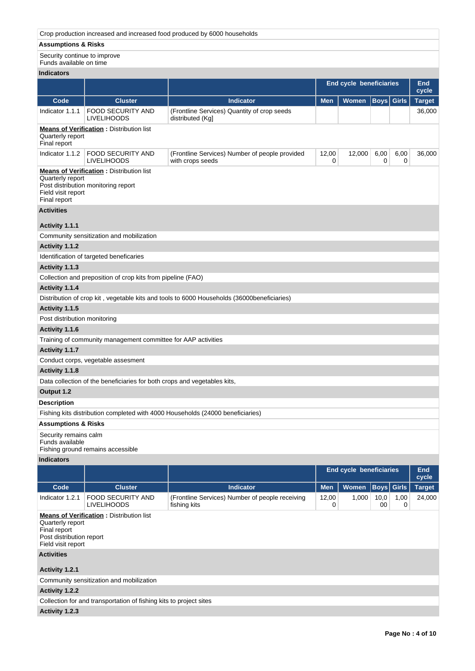# **Assumptions & Risks**

| Security continue to improve<br>Funds available on time                                                                                          |                                                                          |                                                                                             |            |                                |            |                   |                     |  |  |  |
|--------------------------------------------------------------------------------------------------------------------------------------------------|--------------------------------------------------------------------------|---------------------------------------------------------------------------------------------|------------|--------------------------------|------------|-------------------|---------------------|--|--|--|
| <b>Indicators</b>                                                                                                                                |                                                                          |                                                                                             |            |                                |            |                   |                     |  |  |  |
|                                                                                                                                                  |                                                                          |                                                                                             |            | <b>End cycle beneficiaries</b> |            |                   | <b>End</b><br>cycle |  |  |  |
| Code                                                                                                                                             | <b>Cluster</b>                                                           | <b>Indicator</b>                                                                            | <b>Men</b> | Women                          |            | <b>Boys</b> Girls | <b>Target</b>       |  |  |  |
| Indicator 1.1.1                                                                                                                                  | <b>FOOD SECURITY AND</b><br><b>LIVELIHOODS</b>                           | (Frontline Services) Quantity of crop seeds<br>distributed (Kg)                             |            |                                |            |                   | 36,000              |  |  |  |
| Quarterly report                                                                                                                                 | <b>Means of Verification:</b> Distribution list                          |                                                                                             |            |                                |            |                   |                     |  |  |  |
| Final report<br>Indicator 1.1.2                                                                                                                  | <b>FOOD SECURITY AND</b><br><b>LIVELIHOODS</b>                           | (Frontline Services) Number of people provided<br>with crops seeds                          | 12,00<br>0 | 12,000                         | 6,00<br>0  | 6,00<br>0         | 36,000              |  |  |  |
| <b>Means of Verification:</b> Distribution list<br>Quarterly report<br>Post distribution monitoring report<br>Field visit report<br>Final report |                                                                          |                                                                                             |            |                                |            |                   |                     |  |  |  |
| <b>Activities</b>                                                                                                                                |                                                                          |                                                                                             |            |                                |            |                   |                     |  |  |  |
| Activity 1.1.1                                                                                                                                   |                                                                          |                                                                                             |            |                                |            |                   |                     |  |  |  |
|                                                                                                                                                  | Community sensitization and mobilization                                 |                                                                                             |            |                                |            |                   |                     |  |  |  |
| Activity 1.1.2                                                                                                                                   |                                                                          |                                                                                             |            |                                |            |                   |                     |  |  |  |
|                                                                                                                                                  | Identification of targeted beneficaries                                  |                                                                                             |            |                                |            |                   |                     |  |  |  |
| Activity 1.1.3                                                                                                                                   |                                                                          |                                                                                             |            |                                |            |                   |                     |  |  |  |
|                                                                                                                                                  | Collection and preposition of crop kits from pipeline (FAO)              |                                                                                             |            |                                |            |                   |                     |  |  |  |
| Activity 1.1.4                                                                                                                                   |                                                                          |                                                                                             |            |                                |            |                   |                     |  |  |  |
|                                                                                                                                                  |                                                                          | Distribution of crop kit, vegetable kits and tools to 6000 Households (36000 beneficiaries) |            |                                |            |                   |                     |  |  |  |
| Activity 1.1.5                                                                                                                                   |                                                                          |                                                                                             |            |                                |            |                   |                     |  |  |  |
| Post distribution monitoring                                                                                                                     |                                                                          |                                                                                             |            |                                |            |                   |                     |  |  |  |
| Activity 1.1.6                                                                                                                                   |                                                                          |                                                                                             |            |                                |            |                   |                     |  |  |  |
|                                                                                                                                                  | Training of community management committee for AAP activities            |                                                                                             |            |                                |            |                   |                     |  |  |  |
| Activity 1.1.7                                                                                                                                   |                                                                          |                                                                                             |            |                                |            |                   |                     |  |  |  |
|                                                                                                                                                  | Conduct corps, vegetable assesment                                       |                                                                                             |            |                                |            |                   |                     |  |  |  |
| Activity 1.1.8                                                                                                                                   |                                                                          |                                                                                             |            |                                |            |                   |                     |  |  |  |
|                                                                                                                                                  | Data collection of the beneficiaries for both crops and vegetables kits, |                                                                                             |            |                                |            |                   |                     |  |  |  |
| Output 1.2                                                                                                                                       |                                                                          |                                                                                             |            |                                |            |                   |                     |  |  |  |
| <b>Description</b>                                                                                                                               |                                                                          |                                                                                             |            |                                |            |                   |                     |  |  |  |
|                                                                                                                                                  |                                                                          | Fishing kits distribution completed with 4000 Households (24000 beneficiaries)              |            |                                |            |                   |                     |  |  |  |
| <b>Assumptions &amp; Risks</b>                                                                                                                   |                                                                          |                                                                                             |            |                                |            |                   |                     |  |  |  |
| Security remains calm<br>Funds available                                                                                                         | Fishing ground remains accessible                                        |                                                                                             |            |                                |            |                   |                     |  |  |  |
| <b>Indicators</b>                                                                                                                                |                                                                          |                                                                                             |            |                                |            |                   |                     |  |  |  |
|                                                                                                                                                  |                                                                          |                                                                                             |            | End cycle beneficiaries        |            |                   | <b>End</b>          |  |  |  |
|                                                                                                                                                  |                                                                          |                                                                                             |            |                                |            |                   | cycle               |  |  |  |
| Code                                                                                                                                             | <b>Cluster</b>                                                           | <b>Indicator</b>                                                                            | <b>Men</b> | Women                          |            | <b>Boys</b> Girls | <b>Target</b>       |  |  |  |
| Indicator 1.2.1                                                                                                                                  | <b>FOOD SECURITY AND</b><br><b>LIVELIHOODS</b>                           | (Frontline Services) Number of people receiving<br>fishing kits                             | 12,00<br>0 | 1,000                          | 10,0<br>00 | 1,00<br>0         | 24,000              |  |  |  |
| Quarterly report<br>Final report<br>Post distribution report<br>Field visit report                                                               | <b>Means of Verification:</b> Distribution list                          |                                                                                             |            |                                |            |                   |                     |  |  |  |
| <b>Activities</b>                                                                                                                                |                                                                          |                                                                                             |            |                                |            |                   |                     |  |  |  |
| Activity 1.2.1                                                                                                                                   |                                                                          |                                                                                             |            |                                |            |                   |                     |  |  |  |
|                                                                                                                                                  | Community sensitization and mobilization                                 |                                                                                             |            |                                |            |                   |                     |  |  |  |
| Activity 1.2.2                                                                                                                                   |                                                                          |                                                                                             |            |                                |            |                   |                     |  |  |  |
|                                                                                                                                                  | Collection for and transportation of fishing kits to project sites       |                                                                                             |            |                                |            |                   |                     |  |  |  |
| Activity 1.2.3                                                                                                                                   |                                                                          |                                                                                             |            |                                |            |                   |                     |  |  |  |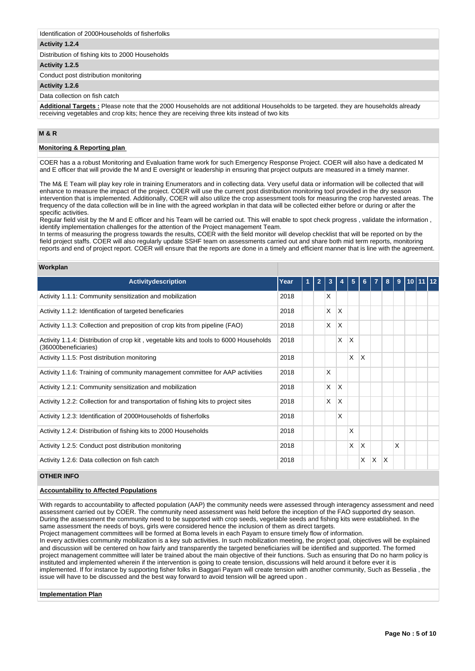### Identification of 2000Households of fisherfolks

### **Activity 1.2.4**

Distribution of fishing kits to 2000 Households

# **Activity 1.2.5**

Conduct post distribution monitoring

#### **Activity 1.2.6**

Data collection on fish catch

**Additional Targets :** Please note that the 2000 Households are not additional Households to be targeted. they are households already receiving vegetables and crop kits; hence they are receiving three kits instead of two kits

## **M & R**

## **Monitoring & Reporting plan**

COER has a a robust Monitoring and Evaluation frame work for such Emergency Response Project. COER will also have a dedicated M and E officer that will provide the M and E oversight or leadership in ensuring that project outputs are measured in a timely manner.

The M& E Team will play key role in training Enumerators and in collecting data. Very useful data or information will be collected that will enhance to measure the impact of the project. COER will use the current post distribution monitoring tool provided in the dry season intervention that is implemented. Additionally, COER will also utilize the crop assessment tools for measuring the crop harvested areas. The frequency of the data collection will be in line with the agreed workplan in that data will be collected either before or during or after the specific activities.

Regular field visit by the M and E officer and his Team will be carried out. This will enable to spot check progress , validate the information , identify implementation challenges for the attention of the Project management Team.

In terms of measuring the progress towards the results, COER with the field monitor will develop checklist that will be reported on by the field project staffs. COER will also regularly update SSHF team on assessments carried out and share both mid term reports, monitoring reports and end of project report. COER will ensure that the reports are done in a timely and efficient manner that is line with the agreement.

### **Workplan**

| <b>Activitydescription</b>                                                                                    | Year |  | 3 |   | 5                       |   |    | 8 | 9 |  |  |
|---------------------------------------------------------------------------------------------------------------|------|--|---|---|-------------------------|---|----|---|---|--|--|
| Activity 1.1.1: Community sensitization and mobilization                                                      | 2018 |  | X |   |                         |   |    |   |   |  |  |
| Activity 1.1.2: Identification of targeted beneficaries                                                       | 2018 |  | X | X |                         |   |    |   |   |  |  |
| Activity 1.1.3: Collection and preposition of crop kits from pipeline (FAO)                                   | 2018 |  | X | X |                         |   |    |   |   |  |  |
| Activity 1.1.4: Distribution of crop kit, vegetable kits and tools to 6000 Households<br>(36000beneficiaries) | 2018 |  |   | X | $\overline{\mathsf{x}}$ |   |    |   |   |  |  |
| Activity 1.1.5: Post distribution monitoring                                                                  | 2018 |  |   |   | X                       | X |    |   |   |  |  |
| Activity 1.1.6: Training of community management committee for AAP activities                                 | 2018 |  | X |   |                         |   |    |   |   |  |  |
| Activity 1.2.1: Community sensitization and mobilization                                                      | 2018 |  | X | X |                         |   |    |   |   |  |  |
| Activity 1.2.2: Collection for and transportation of fishing kits to project sites                            | 2018 |  | X | X |                         |   |    |   |   |  |  |
| Activity 1.2.3: Identification of 2000Households of fisherfolks                                               | 2018 |  |   | X |                         |   |    |   |   |  |  |
| Activity 1.2.4: Distribution of fishing kits to 2000 Households                                               | 2018 |  |   |   | X                       |   |    |   |   |  |  |
| Activity 1.2.5: Conduct post distribution monitoring                                                          | 2018 |  |   |   | X                       | X |    |   | X |  |  |
| Activity 1.2.6: Data collection on fish catch                                                                 | 2018 |  |   |   |                         | X | ΙX | X |   |  |  |

## **OTHER INFO**

### **Accountability to Affected Populations**

With regards to accountability to affected population (AAP) the community needs were assessed through interagency assessment and need assessment carried out by COER. The community need assessment was held before the inception of the FAO supported dry season. During the assessment the community need to be supported with crop seeds, vegetable seeds and fishing kits were established. In the same assessment the needs of boys, girls were considered hence the inclusion of them as direct targets.

Project management committees will be formed at Boma levels in each Payam to ensure timely flow of information.

In every activities community mobilization is a key sub activities. In such mobilization meeting, the project goal, objectives will be explained and discussion will be centered on how fairly and transparently the targeted beneficiaries will be identified and supported. The formed project management committee will later be trained about the main objective of their functions. Such as ensuring that Do no harm policy is instituted and implemented wherein if the intervention is going to create tension, discussions will held around it before ever it is implemented. If for instance by supporting fisher folks in Baggari Payam will create tension with another community, Such as Besselia , the issue will have to be discussed and the best way forward to avoid tension will be agreed upon .

#### **Implementation Plan**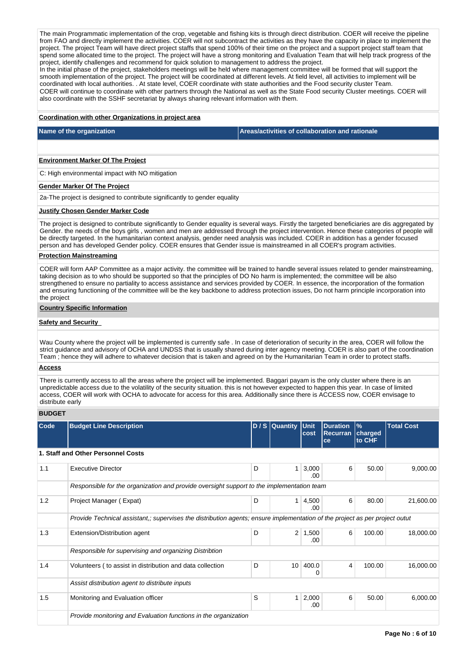The main Programmatic implementation of the crop, vegetable and fishing kits is through direct distribution. COER will receive the pipeline from FAO and directly implement the activities. COER will not subcontract the activities as they have the capacity in place to implement the project. The project Team will have direct project staffs that spend 100% of their time on the project and a support project staff team that spend some allocated time to the project. The project will have a strong monitoring and Evaluation Team that will help track progress of the project, identify challenges and recommend for quick solution to management to address the project.

In the initial phase of the project, stakeholders meetings will be held where management committee will be formed that will support the smooth implementation of the project. The project will be coordinated at different levels. At field level, all activities to implement will be coordinated with local authorities. . At state level, COER coordinate with state authorities and the Food security cluster Team. COER will continue to coordinate with other partners through the National as well as the State Food security Cluster meetings. COER will also coordinate with the SSHF secretariat by always sharing relevant information with them.

## **Coordination with other Organizations in project area**

**Name of the organization Areas/activities of collaboration and rationale** 

### **Environment Marker Of The Project**

C: High environmental impact with NO mitigation

#### **Gender Marker Of The Project**

2a-The project is designed to contribute significantly to gender equality

#### **Justify Chosen Gender Marker Code**

The project is designed to contribute significantly to Gender equality is several ways. Firstly the targeted beneficiaries are dis aggregated by Gender. the needs of the boys girls , women and men are addressed through the project intervention. Hence these categories of people will be directly targeted. In the humanitarian context analysis, gender need analysis was included. COER in addition has a gender focused person and has developed Gender policy. COER ensures that Gender issue is mainstreamed in all COER's program activities.

## **Protection Mainstreaming**

COER will form AAP Committee as a major activity. the committee will be trained to handle several issues related to gender mainstreaming, taking decision as to who should be supported so that the principles of DO No harm is implemented; the committee will be also strengthened to ensure no partiality to access assistance and services provided by COER. In essence, the incorporation of the formation and ensuring functioning of the committee will be the key backbone to address protection issues, Do not harm principle incorporation into the project

#### **Country Specific Information**

### **Safety and Security**

Wau County where the project will be implemented is currently safe . In case of deterioration of security in the area, COER will follow the strict guidance and advisory of OCHA and UNDSS that is usually shared during inter agency meeting. COER is also part of the coordination Team ; hence they will adhere to whatever decision that is taken and agreed on by the Humanitarian Team in order to protect staffs.

#### **Access**

There is currently access to all the areas where the project will be implemented. Baggari payam is the only cluster where there is an unpredictable access due to the volatility of the security situation. this is not however expected to happen this year. In case of limited access, COER will work with OCHA to advocate for access for this area. Additionally since there is ACCESS now, COER envisage to distribute early

## **BUDGET**

| Code | <b>Budget Line Description</b>                                                                                              |   | D / S Quantity Unit | cost          | <b>Duration</b><br><b>Recurran</b><br>ce | $\frac{9}{6}$<br>charged<br>to CHF | <b>Total Cost</b> |  |  |  |  |  |
|------|-----------------------------------------------------------------------------------------------------------------------------|---|---------------------|---------------|------------------------------------------|------------------------------------|-------------------|--|--|--|--|--|
|      | 1. Staff and Other Personnel Costs                                                                                          |   |                     |               |                                          |                                    |                   |  |  |  |  |  |
| 1.1  | <b>Executive Director</b>                                                                                                   | D | $\mathbf{1}$        | 3,000<br>.00  | 6                                        | 50.00                              | 9,000.00          |  |  |  |  |  |
|      | Responsible for the organization and provide oversight support to the implementation team                                   |   |                     |               |                                          |                                    |                   |  |  |  |  |  |
| 1.2  | Project Manager (Expat)                                                                                                     | D | 1                   | 4,500<br>.00. | 6                                        | 80.00                              | 21,600.00         |  |  |  |  |  |
|      | Provide Technical assistant,; supervises the distribution agents; ensure implementation of the project as per project outut |   |                     |               |                                          |                                    |                   |  |  |  |  |  |
| 1.3  | Extension/Distribution agent                                                                                                | D | $\overline{2}$      | 1,500<br>.00  | 6                                        | 100.00                             | 18,000.00         |  |  |  |  |  |
|      | Responsible for supervising and organizing Distribtion                                                                      |   |                     |               |                                          |                                    |                   |  |  |  |  |  |
| 1.4  | Volunteers (to assist in distribution and data collection                                                                   | D | 10 <sup>1</sup>     | 400.0<br>0    | 4                                        | 100.00                             | 16,000.00         |  |  |  |  |  |
|      | Assist distribution agent to distribute inputs                                                                              |   |                     |               |                                          |                                    |                   |  |  |  |  |  |
| 1.5  | Monitoring and Evaluation officer                                                                                           | S | $\mathbf{1}$        | 2,000<br>.00  | 6                                        | 50.00                              | 6,000.00          |  |  |  |  |  |
|      | Provide monitoring and Evaluation functions in the organization                                                             |   |                     |               |                                          |                                    |                   |  |  |  |  |  |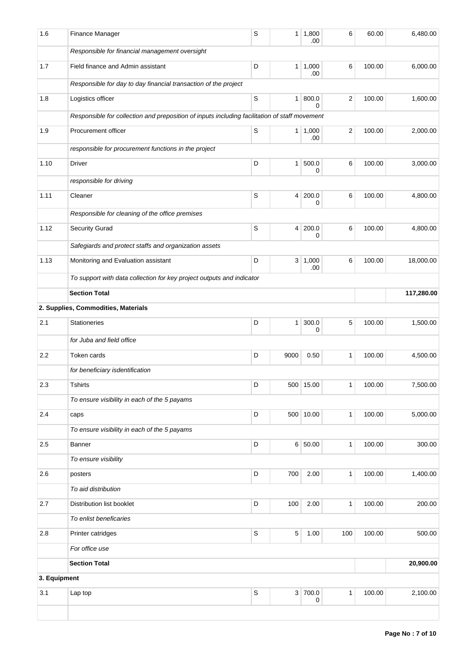| 1.6          | Finance Manager                                                                               | S           | 1 <sup>1</sup> | 1,800<br>.00     | 6              | 60.00  | 6,480.00   |
|--------------|-----------------------------------------------------------------------------------------------|-------------|----------------|------------------|----------------|--------|------------|
|              | Responsible for financial management oversight                                                |             |                |                  |                |        |            |
| 1.7          | Field finance and Admin assistant                                                             | D           |                | 1 1,000<br>.00   | 6              | 100.00 | 6,000.00   |
|              | Responsible for day to day financial transaction of the project                               |             |                |                  |                |        |            |
| 1.8          | Logistics officer                                                                             | $\mathbb S$ |                | 1   800.0<br>0   | 2              | 100.00 | 1,600.00   |
|              | Responsible for collection and preposition of inputs including facilitation of staff movement |             |                |                  |                |        |            |
| 1.9          | Procurement officer                                                                           | S           |                | 1 1,000          | $\overline{2}$ | 100.00 | 2,000.00   |
|              | responsible for procurement functions in the project                                          |             |                | .00              |                |        |            |
| 1.10         | Driver                                                                                        | D           | 1 <sup>1</sup> | 500.0            | 6              | 100.00 | 3,000.00   |
|              | responsible for driving                                                                       |             |                | 0                |                |        |            |
| 1.11         | Cleaner                                                                                       | S           |                | 4 200.0          | 6              | 100.00 | 4,800.00   |
|              |                                                                                               |             |                | 0                |                |        |            |
|              | Responsible for cleaning of the office premises                                               |             |                |                  |                |        |            |
| 1.12         | Security Gurad                                                                                | S           |                | 4 200.0<br>0     | 6              | 100.00 | 4,800.00   |
|              | Safegiards and protect staffs and organization assets                                         |             |                |                  |                |        |            |
| 1.13         | Monitoring and Evaluation assistant                                                           | D           |                | 3   1,000<br>.00 | 6              | 100.00 | 18,000.00  |
|              | To support with data collection for key project outputs and indicator                         |             |                |                  |                |        |            |
|              | <b>Section Total</b>                                                                          |             |                |                  |                |        | 117,280.00 |
|              | 2. Supplies, Commodities, Materials                                                           |             |                |                  |                |        |            |
| 2.1          | <b>Stationeries</b>                                                                           | D           | 1 <sup>1</sup> | 300.0<br>0       | 5              | 100.00 | 1,500.00   |
|              | for Juba and field office                                                                     |             |                |                  |                |        |            |
| 2.2          | Token cards                                                                                   | D           | 9000           | 0.50             | 1              | 100.00 | 4,500.00   |
|              | for beneficiary isdentification                                                               |             |                |                  |                |        |            |
| 2.3          | <b>Tshirts</b>                                                                                | D           |                | 500 15.00        |                | 100.00 | 7,500.00   |
|              | To ensure visibility in each of the 5 payams                                                  |             |                |                  |                |        |            |
| 2.4          | caps                                                                                          | D           |                | 500 10.00        | $\mathbf{1}$   | 100.00 | 5,000.00   |
|              | To ensure visibility in each of the 5 payams                                                  |             |                |                  |                |        |            |
| 2.5          | Banner                                                                                        | D           |                | 6 50.00          | $\mathbf{1}$   | 100.00 | 300.00     |
|              | To ensure visibility                                                                          |             |                |                  |                |        |            |
| 2.6          | posters                                                                                       | D           | 700            | 2.00             | $\mathbf{1}$   | 100.00 | 1,400.00   |
|              | To aid distribution                                                                           |             |                |                  |                |        |            |
| 2.7          | Distribution list booklet                                                                     | D           | 100            | 2.00             | $\mathbf{1}$   | 100.00 | 200.00     |
|              | To enlist beneficaries                                                                        |             |                |                  |                |        |            |
| 2.8          | Printer catridges                                                                             | $\mathbb S$ | $\sqrt{5}$     | 1.00             | 100            | 100.00 | 500.00     |
|              | For office use                                                                                |             |                |                  |                |        |            |
|              | <b>Section Total</b>                                                                          |             |                |                  |                |        | 20,900.00  |
| 3. Equipment |                                                                                               |             |                |                  |                |        |            |
| 3.1          | Lap top                                                                                       | S           |                | 3 700.0          | 1              | 100.00 | 2,100.00   |
|              |                                                                                               |             |                | 0                |                |        |            |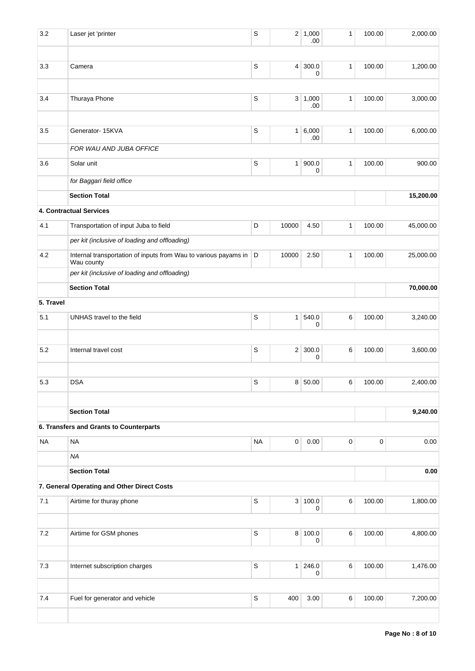| 3.2       | Laser jet 'printer                                                              | S           | $\overline{2}$ | 1,000<br>.00 | 1            | 100.00      | 2,000.00  |
|-----------|---------------------------------------------------------------------------------|-------------|----------------|--------------|--------------|-------------|-----------|
|           |                                                                                 |             |                |              |              |             |           |
| 3.3       | Camera                                                                          | S           | $\overline{4}$ | 300.0<br>0   | $\mathbf{1}$ | 100.00      | 1,200.00  |
| 3.4       | Thuraya Phone                                                                   | $\mathsf S$ |                | 3   1,000    | $\mathbf{1}$ | 100.00      | 3,000.00  |
|           |                                                                                 |             |                | .00          |              |             |           |
| 3.5       | Generator- 15KVA                                                                | $\mathsf S$ | $\mathbf{1}$   | 6,000<br>.00 | $\mathbf{1}$ | 100.00      | 6,000.00  |
|           | FOR WAU AND JUBA OFFICE                                                         |             |                |              |              |             |           |
| 3.6       | Solar unit                                                                      | $\mathsf S$ | $\mathbf{1}$   | 900.0<br>0   | $\mathbf{1}$ | 100.00      | 900.00    |
|           | for Baggari field office                                                        |             |                |              |              |             |           |
|           | <b>Section Total</b>                                                            |             |                |              |              |             | 15,200.00 |
|           | 4. Contractual Services                                                         |             |                |              |              |             |           |
| 4.1       | Transportation of input Juba to field                                           | D           | 10000          | 4.50         | $\mathbf{1}$ | 100.00      | 45,000.00 |
|           | per kit (inclusive of loading and offloading)                                   |             |                |              |              |             |           |
| 4.2       | Internal transportation of inputs from Wau to various payams in D<br>Wau county |             | 10000          | 2.50         | $\mathbf{1}$ | 100.00      | 25,000.00 |
|           | per kit (inclusive of loading and offloading)                                   |             |                |              |              |             |           |
|           | <b>Section Total</b>                                                            |             |                |              |              |             | 70,000.00 |
| 5. Travel |                                                                                 |             |                |              |              |             |           |
| 5.1       | UNHAS travel to the field                                                       | $\mathsf S$ | $\mathbf{1}$   | 540.0<br>0   | 6            | 100.00      | 3,240.00  |
|           |                                                                                 |             |                |              |              |             |           |
| 5.2       | Internal travel cost                                                            | $\mathsf S$ | 2 <sup>1</sup> | 300.0<br>0   | 6            | 100.00      | 3,600.00  |
| 5.3       | <b>DSA</b>                                                                      | S           | 8 <sup>1</sup> | 50.00        | 6            | 100.00      | 2,400.00  |
|           |                                                                                 |             |                |              |              |             |           |
|           | <b>Section Total</b>                                                            |             |                |              |              |             | 9,240.00  |
|           | 6. Transfers and Grants to Counterparts                                         |             |                |              |              |             |           |
| <b>NA</b> | <b>NA</b>                                                                       | <b>NA</b>   | $\mathsf 0$    | 0.00         | $\mathbf 0$  | $\mathbf 0$ | 0.00      |
|           | <b>NA</b>                                                                       |             |                |              |              |             |           |
|           | <b>Section Total</b>                                                            |             |                |              |              |             | 0.00      |
|           | 7. General Operating and Other Direct Costs                                     |             |                |              |              |             |           |
| 7.1       | Airtime for thuray phone                                                        | S           |                | 3 100.0<br>0 | $\,6$        | 100.00      | 1,800.00  |
|           |                                                                                 |             |                |              |              |             |           |
| 7.2       | Airtime for GSM phones                                                          | S           |                | 8 100.0<br>0 | $\,6$        | 100.00      | 4,800.00  |
| 7.3       | Internet subscription charges                                                   | S           | 1              | 246.0<br>0   | $\,6\,$      | 100.00      | 1,476.00  |
|           |                                                                                 |             |                |              |              |             |           |
| 7.4       | Fuel for generator and vehicle                                                  | $\mathsf S$ | 400            | 3.00         | 6            | 100.00      | 7,200.00  |
|           |                                                                                 |             |                |              |              |             |           |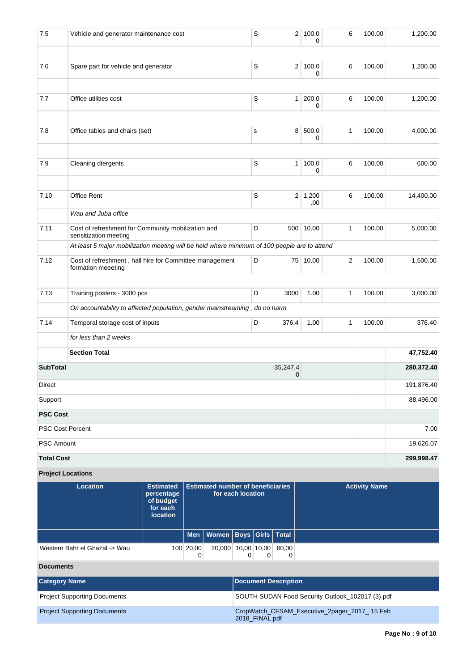| 7.6               | Spare part for vehicle and generator                                                         |                                |                                                               | S           |                         | 2 100.0<br>0          | 6 | 100.00               | 1,200.00   |
|-------------------|----------------------------------------------------------------------------------------------|--------------------------------|---------------------------------------------------------------|-------------|-------------------------|-----------------------|---|----------------------|------------|
|                   |                                                                                              |                                |                                                               |             |                         |                       |   |                      |            |
| 7.7               | Office utilities cost                                                                        |                                |                                                               | S           | 1                       | 200.0<br>0            | 6 | 100.00               | 1,200.00   |
| 7.8               | Office tables and chairs (set)                                                               |                                |                                                               | s           |                         | 8 500.0               | 1 | 100.00               | 4,000.00   |
|                   |                                                                                              |                                |                                                               |             |                         | 0                     |   |                      |            |
| 7.9               | Cleaning dtergents                                                                           |                                |                                                               | $\mathsf S$ | 1 <sup>1</sup>          | 100.0<br>0            | 6 | 100.00               | 600.00     |
| 7.10              | Office Rent                                                                                  |                                |                                                               | S           |                         | $2 \mid 1,200$<br>.00 | 6 | 100.00               | 14,400.00  |
|                   | Wau and Juba office                                                                          |                                |                                                               |             |                         |                       |   |                      |            |
| 7.11              | Cost of refreshment for Community mobilization and<br>sensitization meeting                  |                                |                                                               | D           |                         | 500 10.00             | 1 | 100.00               | 5,000.00   |
|                   | At least 5 major mobilization meeting will be held where minimum of 100 people are to attend |                                |                                                               |             |                         |                       |   |                      |            |
| 7.12              | Cost of refreshment, hall hire for Committee management<br>formation meeeting                |                                |                                                               | D           |                         | 75 10.00              | 2 | 100.00               | 1,500.00   |
| 7.13              | Training posters - 3000 pcs                                                                  |                                |                                                               | D           | 3000                    | 1.00                  | 1 | 100.00               | 3,000.00   |
|                   | On accountability to affected population, gender mainstreaming, do no harm                   |                                |                                                               |             |                         |                       |   |                      |            |
| 7.14              | Temporal storage cost of inputs                                                              |                                |                                                               | D           | 376.4                   | 1.00                  | 1 | 100.00               | 376.40     |
|                   | for less than 2 weeks                                                                        |                                |                                                               |             |                         |                       |   |                      |            |
|                   | <b>Section Total</b>                                                                         |                                |                                                               |             |                         |                       |   |                      | 47,752.40  |
| <b>SubTotal</b>   |                                                                                              |                                |                                                               |             | 35,247.4<br>$\mathbf 0$ |                       |   |                      | 280,372.40 |
| Direct            |                                                                                              |                                |                                                               |             |                         |                       |   |                      | 191,876.40 |
| Support           |                                                                                              |                                |                                                               |             |                         |                       |   |                      | 88,496.00  |
| <b>PSC Cost</b>   |                                                                                              |                                |                                                               |             |                         |                       |   |                      |            |
|                   | <b>PSC Cost Percent</b>                                                                      |                                |                                                               |             |                         |                       |   |                      | 7.00       |
| <b>PSC Amount</b> |                                                                                              |                                |                                                               |             |                         |                       |   |                      | 19,626.07  |
| <b>Total Cost</b> |                                                                                              |                                |                                                               |             |                         |                       |   |                      | 299,998.47 |
|                   | <b>Project Locations</b>                                                                     |                                |                                                               |             |                         |                       |   |                      |            |
|                   | Location                                                                                     | <b>Estimated</b><br>percentage | <b>Estimated number of beneficiaries</b><br>for each location |             |                         |                       |   | <b>Activity Name</b> |            |

| <b>Location</b>               | <b>Estimated</b><br>percentage<br>of budget<br>for each<br><b>location</b> | l Estimated number of beneficiaries_<br>for each location |                                    |  |       | <b>Activity Name</b> |
|-------------------------------|----------------------------------------------------------------------------|-----------------------------------------------------------|------------------------------------|--|-------|----------------------|
|                               |                                                                            |                                                           | Men   Women   Boys   Girls   Total |  |       |                      |
| Western Bahr el Ghazal -> Wau |                                                                            | 100 20,00                                                 | 20,000 10,00 10,00                 |  | 60.00 |                      |

# **Documents**

| <b>Category Name</b>                | Document Description                                           |
|-------------------------------------|----------------------------------------------------------------|
| <b>Project Supporting Documents</b> | SOUTH SUDAN Food Security Outlook 102017 (3).pdf               |
| <b>Project Supporting Documents</b> | CropWatch_CFSAM_Executive_2pager_2017_15 Feb<br>2018 FINAL.pdf |